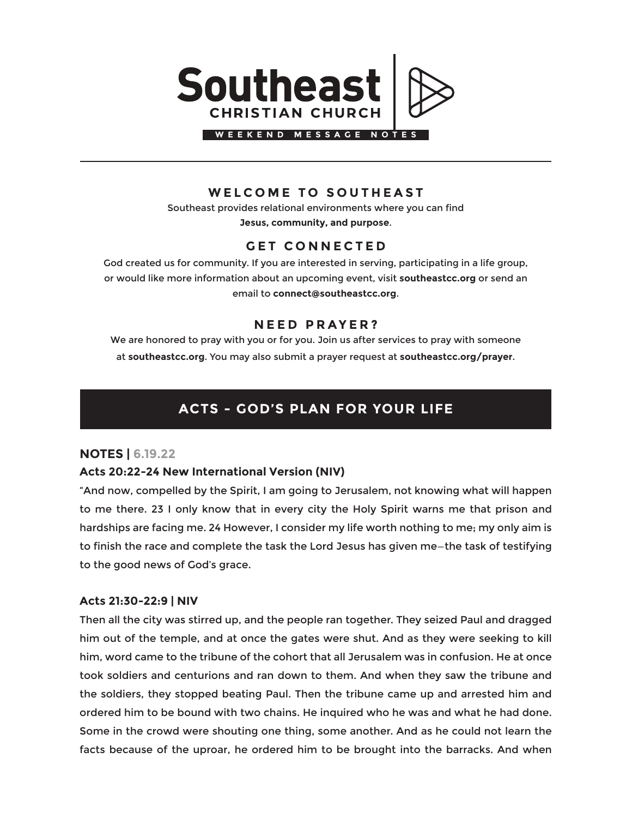

#### **WELCOME TO SOUTHEAST**

Southeast provides relational environments where you can find **Jesus, community, and purpose**.

### **GET CONNECTED**

God created us for community. If you are interested in serving, participating in a life group, or would like more information about an upcoming event, visit **southeastcc.org** or send an email to **connect@southeastcc.org**.

#### **NEED PRAYER?**

We are honored to pray with you or for you. Join us after services to pray with someone at **southeastcc.org**. You may also submit a prayer request at **southeastcc.org/prayer**.

# **ACTS - GOD'S PLAN FOR YOUR LIFE**

#### **NOTES | 6.19.22**

#### **Acts 20:22-24 New International Version (NIV)**

"And now, compelled by the Spirit, I am going to Jerusalem, not knowing what will happen to me there. 23 I only know that in every city the Holy Spirit warns me that prison and hardships are facing me. 24 However, I consider my life worth nothing to me; my only aim is to finish the race and complete the task the Lord Jesus has given me—the task of testifying to the good news of God's grace.

#### **Acts 21:30-22:9 | NIV**

Then all the city was stirred up, and the people ran together. They seized Paul and dragged him out of the temple, and at once the gates were shut. And as they were seeking to kill him, word came to the tribune of the cohort that all Jerusalem was in confusion. He at once took soldiers and centurions and ran down to them. And when they saw the tribune and the soldiers, they stopped beating Paul. Then the tribune came up and arrested him and ordered him to be bound with two chains. He inquired who he was and what he had done. Some in the crowd were shouting one thing, some another. And as he could not learn the facts because of the uproar, he ordered him to be brought into the barracks. And when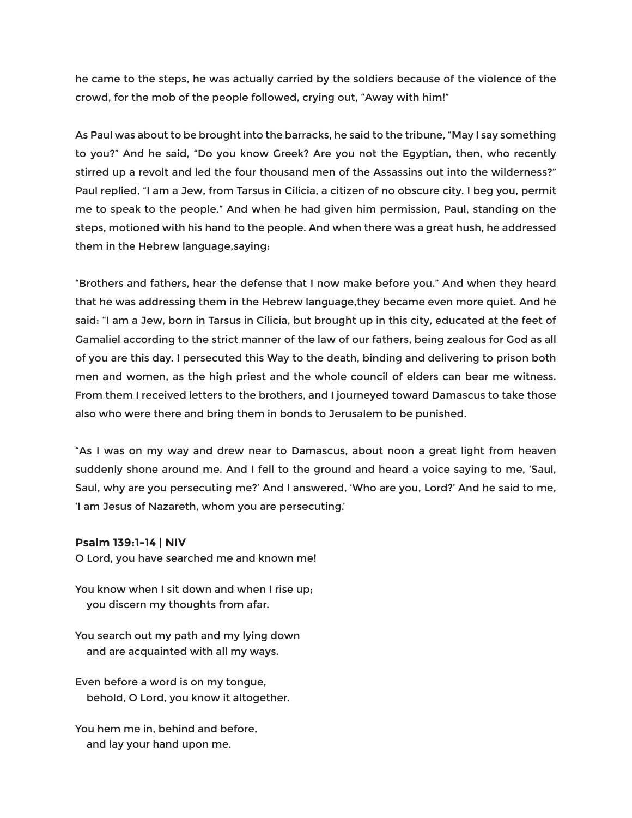he came to the steps, he was actually carried by the soldiers because of the violence of the crowd, for the mob of the people followed, crying out, "Away with him!"

As Paul was about to be brought into the barracks, he said to the tribune, "May I say something to you?" And he said, "Do you know Greek? Are you not the Egyptian, then, who recently stirred up a revolt and led the four thousand men of the Assassins out into the wilderness?" Paul replied, "I am a Jew, from Tarsus in Cilicia, a citizen of no obscure city. I beg you, permit me to speak to the people." And when he had given him permission, Paul, standing on the steps, motioned with his hand to the people. And when there was a great hush, he addressed them in the Hebrew language,saying:

"Brothers and fathers, hear the defense that I now make before you." And when they heard that he was addressing them in the Hebrew language,they became even more quiet. And he said: "I am a Jew, born in Tarsus in Cilicia, but brought up in this city, educated at the feet of Gamaliel according to the strict manner of the law of our fathers, being zealous for God as all of you are this day. I persecuted this Way to the death, binding and delivering to prison both men and women, as the high priest and the whole council of elders can bear me witness. From them I received letters to the brothers, and I journeyed toward Damascus to take those also who were there and bring them in bonds to Jerusalem to be punished.

"As I was on my way and drew near to Damascus, about noon a great light from heaven suddenly shone around me. And I fell to the ground and heard a voice saying to me, 'Saul, Saul, why are you persecuting me?' And I answered, 'Who are you, Lord?' And he said to me, 'I am Jesus of Nazareth, whom you are persecuting.'

#### **Psalm 139:1-14 | NIV**

O Lord, you have searched me and known me!

You know when I sit down and when I rise up; you discern my thoughts from afar.

You search out my path and my lying down and are acquainted with all my ways.

Even before a word is on my tongue, behold, O Lord, you know it altogether.

You hem me in, behind and before, and lay your hand upon me.